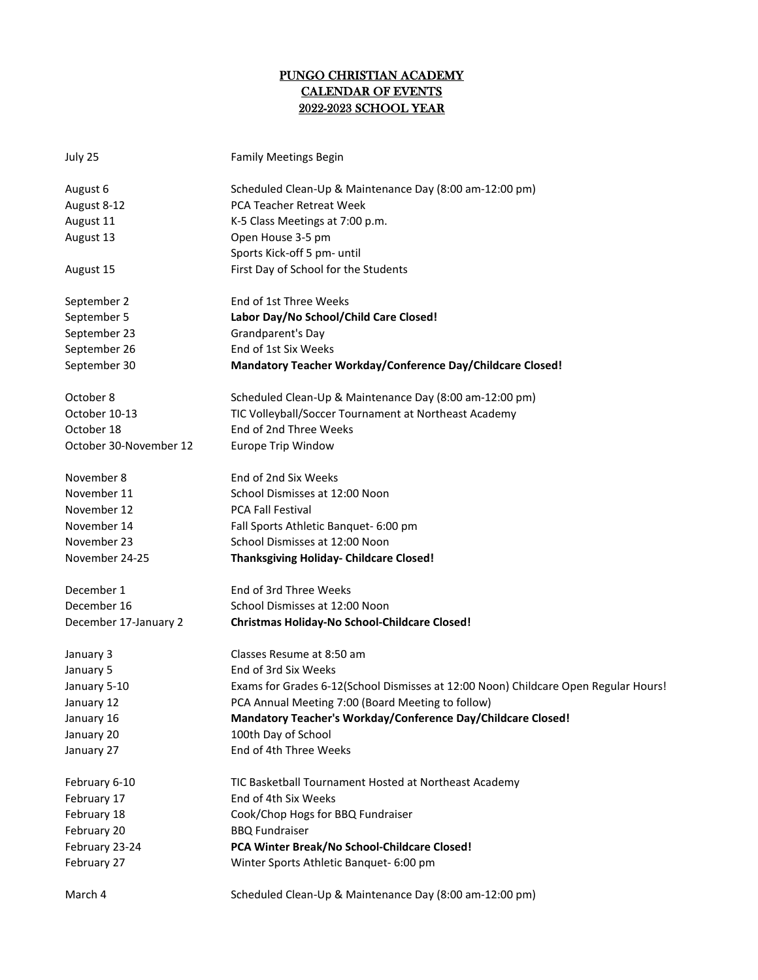## PUNGO CHRISTIAN ACADEMY CALENDAR OF EVENTS 2022-2023 SCHOOL YEAR

| July 25                | <b>Family Meetings Begin</b>                                                        |
|------------------------|-------------------------------------------------------------------------------------|
| August 6               | Scheduled Clean-Up & Maintenance Day (8:00 am-12:00 pm)                             |
| August 8-12            | PCA Teacher Retreat Week                                                            |
| August 11              | K-5 Class Meetings at 7:00 p.m.                                                     |
| August 13              | Open House 3-5 pm                                                                   |
|                        | Sports Kick-off 5 pm- until                                                         |
| August 15              | First Day of School for the Students                                                |
| September 2            | End of 1st Three Weeks                                                              |
| September 5            | Labor Day/No School/Child Care Closed!                                              |
| September 23           | Grandparent's Day                                                                   |
| September 26           | End of 1st Six Weeks                                                                |
| September 30           | Mandatory Teacher Workday/Conference Day/Childcare Closed!                          |
| October 8              | Scheduled Clean-Up & Maintenance Day (8:00 am-12:00 pm)                             |
| October 10-13          | TIC Volleyball/Soccer Tournament at Northeast Academy                               |
| October 18             | End of 2nd Three Weeks                                                              |
| October 30-November 12 | <b>Europe Trip Window</b>                                                           |
| November 8             | End of 2nd Six Weeks                                                                |
| November 11            | School Dismisses at 12:00 Noon                                                      |
| November 12            | <b>PCA Fall Festival</b>                                                            |
| November 14            | Fall Sports Athletic Banquet- 6:00 pm                                               |
| November 23            | School Dismisses at 12:00 Noon                                                      |
| November 24-25         | <b>Thanksgiving Holiday- Childcare Closed!</b>                                      |
| December 1             | End of 3rd Three Weeks                                                              |
| December 16            | School Dismisses at 12:00 Noon                                                      |
| December 17-January 2  | <b>Christmas Holiday-No School-Childcare Closed!</b>                                |
| January 3              | Classes Resume at 8:50 am                                                           |
| January 5              | End of 3rd Six Weeks                                                                |
| January 5-10           | Exams for Grades 6-12(School Dismisses at 12:00 Noon) Childcare Open Regular Hours! |
| January 12             | PCA Annual Meeting 7:00 (Board Meeting to follow)                                   |
| January 16             | Mandatory Teacher's Workday/Conference Day/Childcare Closed!                        |
| January 20             | 100th Day of School                                                                 |
| January 27             | End of 4th Three Weeks                                                              |
| February 6-10          | TIC Basketball Tournament Hosted at Northeast Academy                               |
| February 17            | End of 4th Six Weeks                                                                |
| February 18            | Cook/Chop Hogs for BBQ Fundraiser                                                   |
| February 20            | <b>BBQ Fundraiser</b>                                                               |
| February 23-24         | PCA Winter Break/No School-Childcare Closed!                                        |
| February 27            | Winter Sports Athletic Banquet- 6:00 pm                                             |
| March 4                | Scheduled Clean-Up & Maintenance Day (8:00 am-12:00 pm)                             |